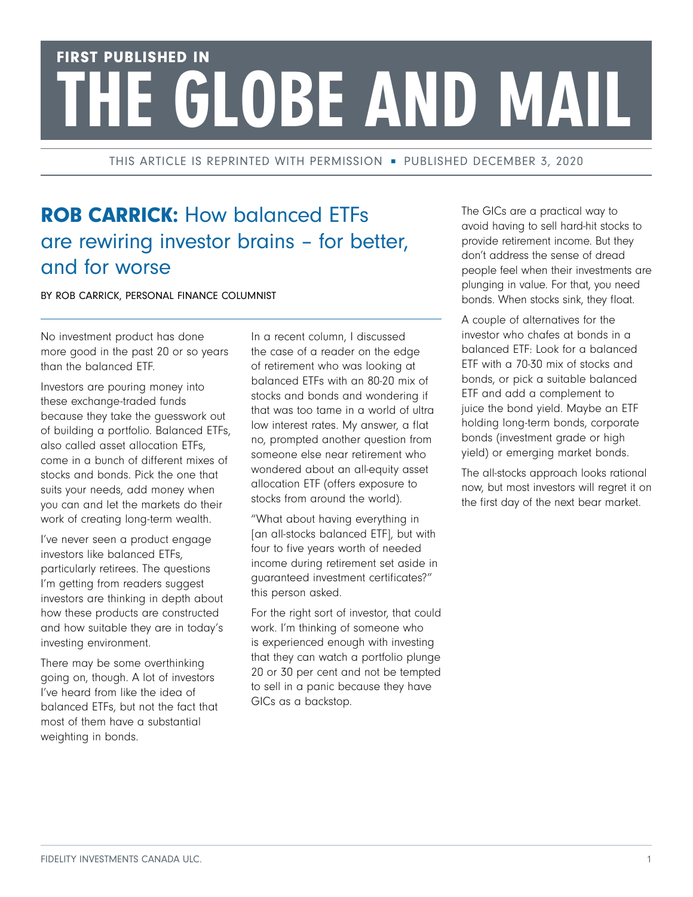## FIRST PUBLISHED IN HE GLOBE AND MAIL

THIS ARTICLE IS REPRINTED WITH PERMISSION - PUBLISHED DECEMBER 3, 2020

## ROB CARRICK: How balanced ETFs are rewiring investor brains – for better, and for worse

BY ROB CARRICK, PERSONAL FINANCE COLUMNIST

No investment product has done more good in the past 20 or so years than the balanced ETF.

Investors are pouring money into these exchange-traded funds because they take the guesswork out of building a portfolio. Balanced ETFs, also called asset allocation ETFs, come in a bunch of different mixes of stocks and bonds. Pick the one that suits your needs, add money when you can and let the markets do their work of creating long-term wealth.

I've never seen a product engage investors like balanced ETFs, particularly retirees. The questions I'm getting from readers suggest investors are thinking in depth about how these products are constructed and how suitable they are in today's investing environment.

There may be some overthinking going on, though. A lot of investors I've heard from like the idea of balanced ETFs, but not the fact that most of them have a substantial weighting in bonds.

In a recent column, I discussed the case of a reader on the edge of retirement who was looking at balanced ETFs with an 80-20 mix of stocks and bonds and wondering if that was too tame in a world of ultra low interest rates. My answer, a flat no, prompted another question from someone else near retirement who wondered about an all-equity asset allocation ETF (offers exposure to stocks from around the world).

"What about having everything in [an all-stocks balanced ETF], but with four to five years worth of needed income during retirement set aside in guaranteed investment certificates?" this person asked.

For the right sort of investor, that could work. I'm thinking of someone who is experienced enough with investing that they can watch a portfolio plunge 20 or 30 per cent and not be tempted to sell in a panic because they have GICs as a backstop.

The GICs are a practical way to avoid having to sell hard-hit stocks to provide retirement income. But they don't address the sense of dread people feel when their investments are plunging in value. For that, you need bonds. When stocks sink, they float.

A couple of alternatives for the investor who chafes at bonds in a balanced ETF: Look for a balanced ETF with a 70-30 mix of stocks and bonds, or pick a suitable balanced ETF and add a complement to juice the bond yield. Maybe an ETF holding long-term bonds, corporate bonds (investment grade or high yield) or emerging market bonds.

The all-stocks approach looks rational now, but most investors will regret it on the first day of the next bear market.